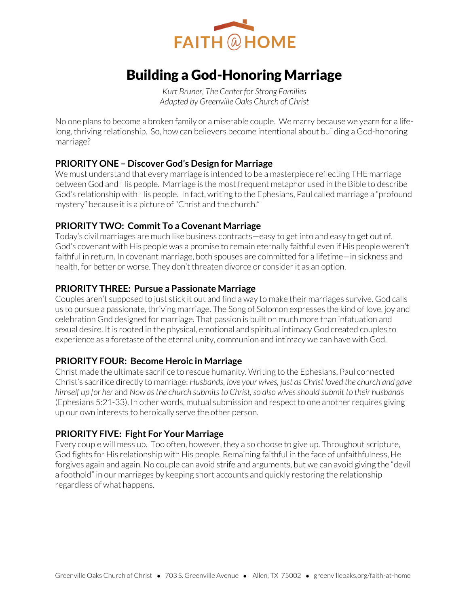

# Building a God-Honoring Marriage

*Kurt Bruner, The Center for Strong Families Adapted by Greenville Oaks Church of Christ* 

No one plans to become a broken family or a miserable couple. We marry because we yearn for a lifelong, thriving relationship. So, how can believers become intentional about building a God-honoring marriage?

### **PRIORITY ONE – Discover God's Design for Marriage**

We must understand that every marriage is intended to be a masterpiece reflecting THE marriage between God and His people. Marriage is the most frequent metaphor used in the Bible to describe God's relationship with His people. In fact, writing to the Ephesians, Paul called marriage a "profound mystery" because it is a picture of "Christ and the church."

### **PRIORITY TWO: Commit To a Covenant Marriage**

Today's civil marriages are much like business contracts—easy to get into and easy to get out of. God's covenant with His people was a promise to remain eternally faithful even if His people weren't faithful in return. In covenant marriage, both spouses are committed for a lifetime—in sickness and health, for better or worse. They don't threaten divorce or consider it as an option.

### **PRIORITY THREE: Pursue a Passionate Marriage**

Couples aren't supposed to just stick it out and find a way to make their marriages survive. God calls us to pursue a passionate, thriving marriage. The Song of Solomon expresses the kind of love, joy and celebration God designed for marriage. That passion is built on much more than infatuation and sexual desire. It is rooted in the physical, emotional and spiritual intimacy God created couples to experience as a foretaste of the eternal unity, communion and intimacy we can have with God.

### **PRIORITY FOUR: Become Heroic in Marriage**

Christ made the ultimate sacrifice to rescue humanity. Writing to the Ephesians, Paul connected Christ's sacrifice directly to marriage: *Husbands, love your wives, just as Christ loved the church and gave himself up for her* and *Now as the church submits to Christ, so also wives should submit to their husbands* (Ephesians 5:21-33). In other words, mutual submission and respect to one another requires giving up our own interests to heroically serve the other person.

### **PRIORITY FIVE: Fight For Your Marriage**

Every couple will mess up. Too often, however, they also choose to give up. Throughout scripture, God fights for His relationship with His people. Remaining faithful in the face of unfaithfulness, He forgives again and again. No couple can avoid strife and arguments, but we can avoid giving the "devil a foothold" in our marriages by keeping short accounts and quickly restoring the relationship regardless of what happens.